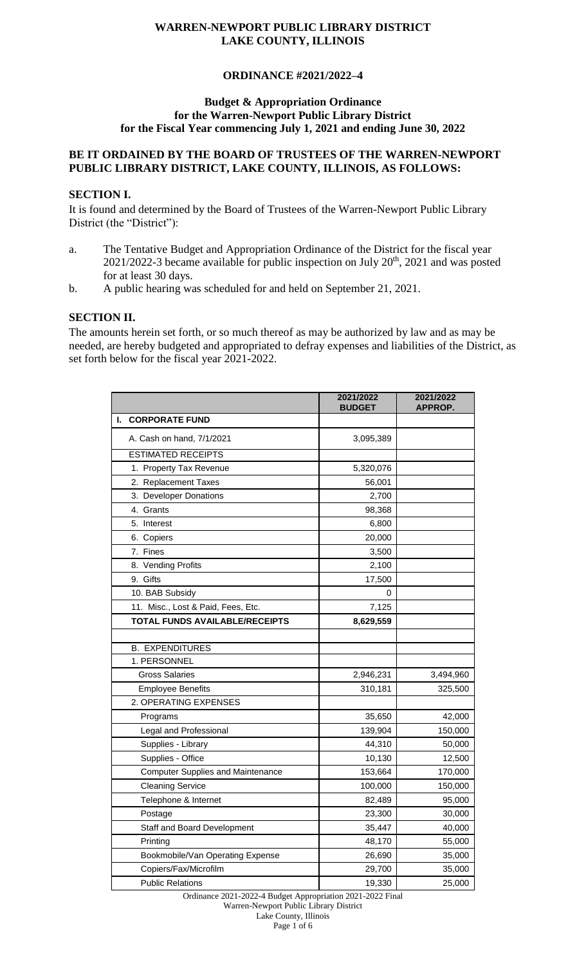# **ORDINANCE #2021/2022–4**

#### **Budget & Appropriation Ordinance for the Warren-Newport Public Library District for the Fiscal Year commencing July 1, 2021 and ending June 30, 2022**

#### **BE IT ORDAINED BY THE BOARD OF TRUSTEES OF THE WARREN-NEWPORT PUBLIC LIBRARY DISTRICT, LAKE COUNTY, ILLINOIS, AS FOLLOWS:**

### **SECTION I.**

It is found and determined by the Board of Trustees of the Warren-Newport Public Library District (the "District"):

- a. The Tentative Budget and Appropriation Ordinance of the District for the fiscal year  $2021/2022$ -3 became available for public inspection on July  $20<sup>th</sup>$ ,  $2021$  and was posted for at least 30 days.
- b. A public hearing was scheduled for and held on September 21, 2021.

### **SECTION II.**

The amounts herein set forth, or so much thereof as may be authorized by law and as may be needed, are hereby budgeted and appropriated to defray expenses and liabilities of the District, as set forth below for the fiscal year 2021-2022.

|                                          | 2021/2022<br><b>BUDGET</b> | 2021/2022<br>APPROP. |
|------------------------------------------|----------------------------|----------------------|
| <b>CORPORATE FUND</b><br>I.              |                            |                      |
| A. Cash on hand, 7/1/2021                | 3,095,389                  |                      |
| <b>ESTIMATED RECEIPTS</b>                |                            |                      |
| 1. Property Tax Revenue                  | 5,320,076                  |                      |
| 2. Replacement Taxes                     | 56,001                     |                      |
| 3. Developer Donations                   | 2,700                      |                      |
| 4. Grants                                | 98,368                     |                      |
| 5. Interest                              | 6,800                      |                      |
| 6. Copiers                               | 20,000                     |                      |
| 7. Fines                                 | 3,500                      |                      |
| 8. Vending Profits                       | 2,100                      |                      |
| 9. Gifts                                 | 17,500                     |                      |
| 10. BAB Subsidy                          | 0                          |                      |
| 11. Misc., Lost & Paid, Fees, Etc.       | 7,125                      |                      |
| TOTAL FUNDS AVAILABLE/RECEIPTS           | 8,629,559                  |                      |
|                                          |                            |                      |
| <b>B. EXPENDITURES</b>                   |                            |                      |
| 1. PERSONNEL                             |                            |                      |
| <b>Gross Salaries</b>                    | 2,946,231                  | 3,494,960            |
| <b>Employee Benefits</b>                 | 310,181                    | 325,500              |
| 2. OPERATING EXPENSES                    |                            |                      |
| Programs                                 | 35,650                     | 42,000               |
| Legal and Professional                   | 139,904                    | 150,000              |
| Supplies - Library                       | 44,310                     | 50,000               |
| Supplies - Office                        | 10,130                     | 12,500               |
| <b>Computer Supplies and Maintenance</b> | 153,664                    | 170,000              |
| <b>Cleaning Service</b>                  | 100,000                    | 150,000              |
| Telephone & Internet                     | 82,489                     | 95,000               |
| Postage                                  | 23,300                     | 30,000               |
| Staff and Board Development              | 35,447                     | 40,000               |
| Printing                                 | 48,170                     | 55,000               |
| Bookmobile/Van Operating Expense         | 26,690                     | 35,000               |
| Copiers/Fax/Microfilm                    | 29,700                     | 35,000               |
| <b>Public Relations</b>                  | 19,330                     | 25,000               |

Ordinance 2021-2022-4 Budget Appropriation 2021-2022 Final

Warren-Newport Public Library District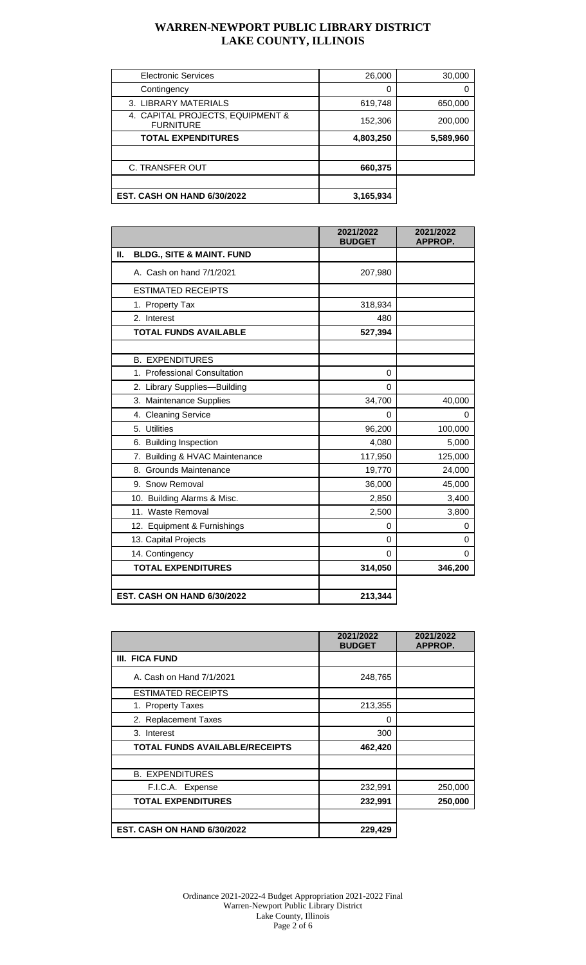| <b>Electronic Services</b>                           | 26,000    | 30,000    |
|------------------------------------------------------|-----------|-----------|
| Contingency                                          | 0         |           |
| 3. LIBRARY MATERIALS                                 | 619,748   | 650,000   |
| 4. CAPITAL PROJECTS, EQUIPMENT &<br><b>FURNITURE</b> | 152,306   | 200,000   |
| <b>TOTAL EXPENDITURES</b>                            | 4,803,250 | 5,589,960 |
|                                                      |           |           |
| <b>C. TRANSFER OUT</b>                               | 660,375   |           |
|                                                      |           |           |
| <b>EST. CASH ON HAND 6/30/2022</b>                   | 3,165,934 |           |

|                                            | 2021/2022<br><b>BUDGET</b> | 2021/2022<br>APPROP. |
|--------------------------------------------|----------------------------|----------------------|
| П.<br><b>BLDG., SITE &amp; MAINT. FUND</b> |                            |                      |
| A. Cash on hand 7/1/2021                   | 207,980                    |                      |
| <b>ESTIMATED RECEIPTS</b>                  |                            |                      |
| 1. Property Tax                            | 318,934                    |                      |
| 2. Interest                                | 480                        |                      |
| <b>TOTAL FUNDS AVAILABLE</b>               | 527,394                    |                      |
|                                            |                            |                      |
| <b>B. EXPENDITURES</b>                     |                            |                      |
| 1. Professional Consultation               | $\Omega$                   |                      |
| 2. Library Supplies-Building               | $\Omega$                   |                      |
| 3. Maintenance Supplies                    | 34,700                     | 40,000               |
| 4. Cleaning Service                        | 0                          | $\Omega$             |
| 5. Utilities                               | 96,200                     | 100,000              |
| 6. Building Inspection                     | 4,080                      | 5,000                |
| 7. Building & HVAC Maintenance             | 117,950                    | 125,000              |
| 8. Grounds Maintenance                     | 19,770                     | 24,000               |
| 9. Snow Removal                            | 36,000                     | 45,000               |
| 10. Building Alarms & Misc.                | 2,850                      | 3,400                |
| 11. Waste Removal                          | 2,500                      | 3,800                |
| 12. Equipment & Furnishings                | 0                          | 0                    |
| 13. Capital Projects                       | $\Omega$                   | 0                    |
| 14. Contingency                            | $\Omega$                   | 0                    |
| <b>TOTAL EXPENDITURES</b>                  | 314,050                    | 346,200              |
|                                            |                            |                      |
| <b>EST. CASH ON HAND 6/30/2022</b>         | 213,344                    |                      |

|                                       | 2021/2022<br><b>BUDGET</b> | 2021/2022<br>APPROP. |
|---------------------------------------|----------------------------|----------------------|
| III. FICA FUND                        |                            |                      |
| A. Cash on Hand 7/1/2021              | 248,765                    |                      |
| <b>ESTIMATED RECEIPTS</b>             |                            |                      |
| 1. Property Taxes                     | 213,355                    |                      |
| 2. Replacement Taxes                  | 0                          |                      |
| 3. Interest                           | 300                        |                      |
| <b>TOTAL FUNDS AVAILABLE/RECEIPTS</b> | 462,420                    |                      |
|                                       |                            |                      |
| <b>B. EXPENDITURES</b>                |                            |                      |
| F.I.C.A. Expense                      | 232,991                    | 250,000              |
| <b>TOTAL EXPENDITURES</b>             | 232,991                    | 250,000              |
| EST. CASH ON HAND 6/30/2022           | 229,429                    |                      |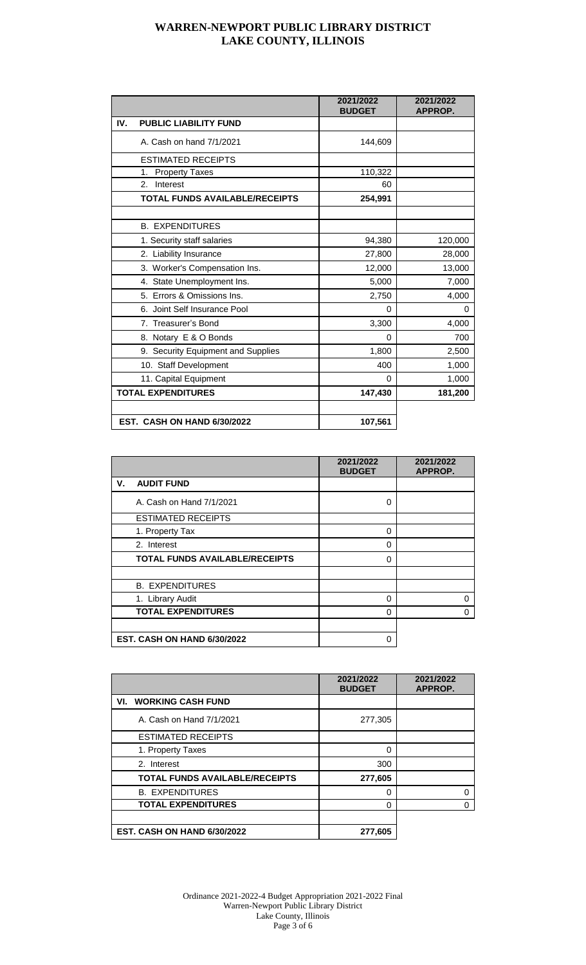|                                     | 2021/2022<br><b>BUDGET</b> | 2021/2022<br><b>APPROP.</b> |
|-------------------------------------|----------------------------|-----------------------------|
| IV.<br><b>PUBLIC LIABILITY FUND</b> |                            |                             |
| A. Cash on hand 7/1/2021            | 144,609                    |                             |
| <b>ESTIMATED RECEIPTS</b>           |                            |                             |
| <b>Property Taxes</b><br>1.         | 110,322                    |                             |
| Interest<br>$2_{-}$                 | 60                         |                             |
| TOTAL FUNDS AVAILABLE/RECEIPTS      | 254,991                    |                             |
|                                     |                            |                             |
| <b>B. EXPENDITURES</b>              |                            |                             |
| 1. Security staff salaries          | 94,380                     | 120,000                     |
| 2. Liability Insurance              | 27,800                     | 28,000                      |
| 3. Worker's Compensation Ins.       | 12,000                     | 13,000                      |
| 4. State Unemployment Ins.          | 5,000                      | 7,000                       |
| 5. Errors & Omissions Ins.          | 2,750                      | 4,000                       |
| 6. Joint Self Insurance Pool        | $\Omega$                   | 0                           |
| 7. Treasurer's Bond                 | 3,300                      | 4,000                       |
| 8. Notary E & O Bonds               | 0                          | 700                         |
| 9. Security Equipment and Supplies  | 1,800                      | 2,500                       |
| 10. Staff Development               | 400                        | 1,000                       |
| 11. Capital Equipment               | 0                          | 1,000                       |
| <b>TOTAL EXPENDITURES</b>           | 147,430                    | 181,200                     |
| EST. CASH ON HAND 6/30/2022         | 107,561                    |                             |

|                                       | 2021/2022<br><b>BUDGET</b> | 2021/2022<br>APPROP. |
|---------------------------------------|----------------------------|----------------------|
| ۷.<br><b>AUDIT FUND</b>               |                            |                      |
| A. Cash on Hand 7/1/2021              | 0                          |                      |
| <b>ESTIMATED RECEIPTS</b>             |                            |                      |
| 1. Property Tax                       | 0                          |                      |
| 2. Interest                           | $\Omega$                   |                      |
| <b>TOTAL FUNDS AVAILABLE/RECEIPTS</b> | $\Omega$                   |                      |
| <b>B. EXPENDITURES</b>                |                            |                      |
| 1. Library Audit                      | $\Omega$                   | 0                    |
| <b>TOTAL EXPENDITURES</b>             | 0                          | 0                    |
|                                       |                            |                      |
| <b>EST. CASH ON HAND 6/30/2022</b>    | 0                          |                      |

|                                       | 2021/2022<br><b>BUDGET</b> | 2021/2022<br>APPROP. |
|---------------------------------------|----------------------------|----------------------|
| VI. WORKING CASH FUND                 |                            |                      |
| A. Cash on Hand 7/1/2021              | 277,305                    |                      |
| <b>ESTIMATED RECEIPTS</b>             |                            |                      |
| 1. Property Taxes                     | 0                          |                      |
| 2. Interest                           | 300                        |                      |
| <b>TOTAL FUNDS AVAILABLE/RECEIPTS</b> | 277,605                    |                      |
| <b>B. EXPENDITURES</b>                | O                          |                      |
| <b>TOTAL EXPENDITURES</b>             | 0                          |                      |
|                                       |                            |                      |
| <b>EST. CASH ON HAND 6/30/2022</b>    | 277,605                    |                      |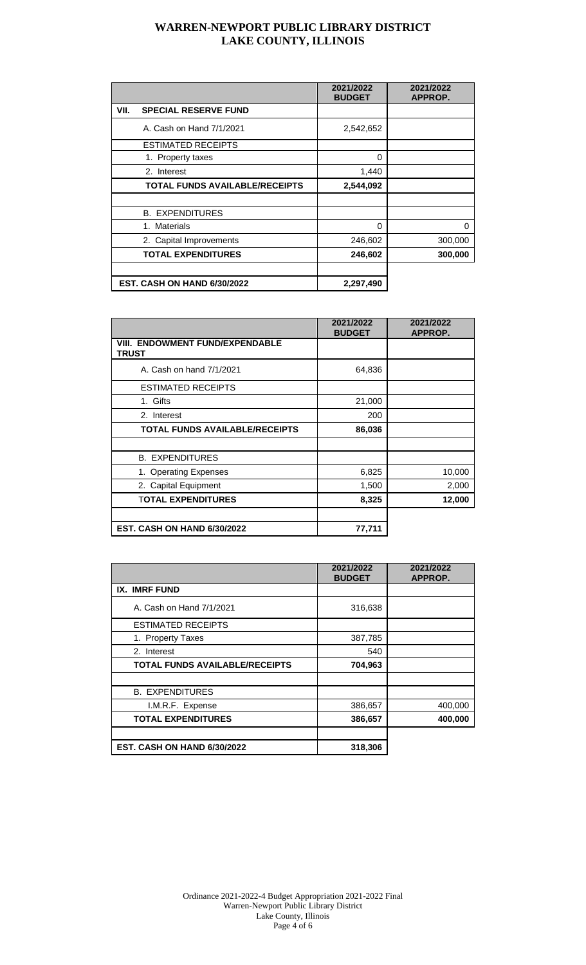|                                     | 2021/2022<br><b>BUDGET</b> | 2021/2022<br>APPROP. |
|-------------------------------------|----------------------------|----------------------|
| VII.<br><b>SPECIAL RESERVE FUND</b> |                            |                      |
| A. Cash on Hand 7/1/2021            | 2,542,652                  |                      |
| <b>ESTIMATED RECEIPTS</b>           |                            |                      |
| 1. Property taxes                   | 0                          |                      |
| 2. Interest                         | 1,440                      |                      |
| TOTAL FUNDS AVAILABLE/RECEIPTS      | 2,544,092                  |                      |
|                                     |                            |                      |
| <b>B. EXPENDITURES</b>              |                            |                      |
| 1. Materials                        | $\Omega$                   | 0                    |
| 2. Capital Improvements             | 246,602                    | 300,000              |
| <b>TOTAL EXPENDITURES</b>           | 246,602                    | 300,000              |
|                                     |                            |                      |
| <b>EST. CASH ON HAND 6/30/2022</b>  | 2,297,490                  |                      |

|                                                        | 2021/2022<br><b>BUDGET</b> | 2021/2022<br>APPROP. |
|--------------------------------------------------------|----------------------------|----------------------|
| <b>VIII. ENDOWMENT FUND/EXPENDABLE</b><br><b>TRUST</b> |                            |                      |
| A. Cash on hand 7/1/2021                               | 64,836                     |                      |
| <b>ESTIMATED RECEIPTS</b>                              |                            |                      |
| 1. Gifts                                               | 21,000                     |                      |
| 2. Interest                                            | 200                        |                      |
| <b>TOTAL FUNDS AVAILABLE/RECEIPTS</b>                  | 86,036                     |                      |
|                                                        |                            |                      |
| <b>B. EXPENDITURES</b>                                 |                            |                      |
| 1. Operating Expenses                                  | 6,825                      | 10,000               |
| 2. Capital Equipment                                   | 1,500                      | 2,000                |
| <b>TOTAL EXPENDITURES</b>                              | 8,325                      | 12,000               |
| <b>EST. CASH ON HAND 6/30/2022</b>                     | 77,711                     |                      |

|                                       | 2021/2022<br><b>BUDGET</b> | 2021/2022<br>APPROP. |
|---------------------------------------|----------------------------|----------------------|
| <b>IX. IMRF FUND</b>                  |                            |                      |
| A. Cash on Hand 7/1/2021              | 316,638                    |                      |
| <b>ESTIMATED RECEIPTS</b>             |                            |                      |
| 1. Property Taxes                     | 387,785                    |                      |
| 2. Interest                           | 540                        |                      |
| <b>TOTAL FUNDS AVAILABLE/RECEIPTS</b> | 704,963                    |                      |
|                                       |                            |                      |
| <b>B. EXPENDITURES</b>                |                            |                      |
| I.M.R.F. Expense                      | 386,657                    | 400,000              |
| <b>TOTAL EXPENDITURES</b>             | 386,657                    | 400,000              |
|                                       |                            |                      |
| EST. CASH ON HAND 6/30/2022           | 318,306                    |                      |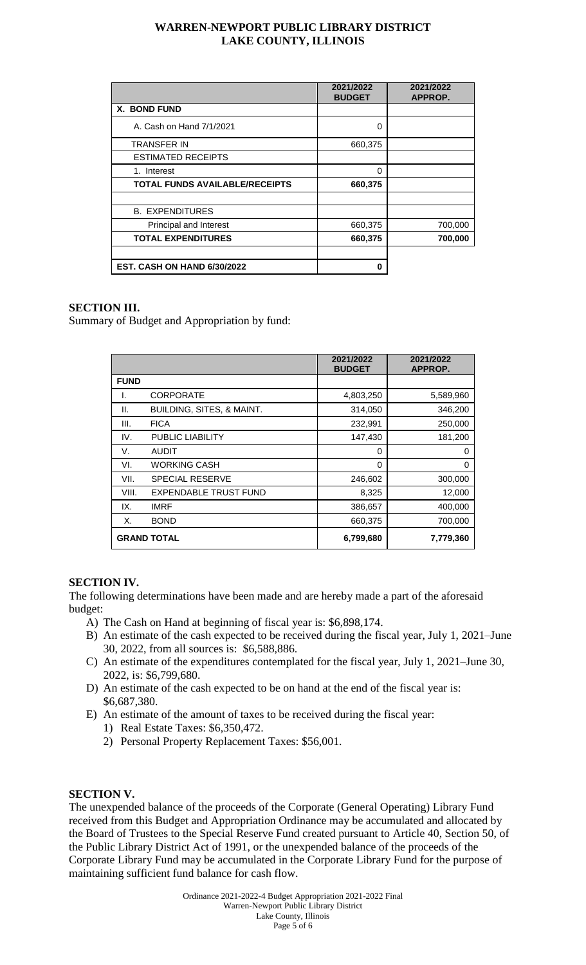|                                       | 2021/2022<br><b>BUDGET</b> | 2021/2022<br>APPROP. |
|---------------------------------------|----------------------------|----------------------|
| <b>X. BOND FUND</b>                   |                            |                      |
| A. Cash on Hand 7/1/2021              | 0                          |                      |
| <b>TRANSFER IN</b>                    | 660,375                    |                      |
| <b>ESTIMATED RECEIPTS</b>             |                            |                      |
| 1. Interest                           | $\Omega$                   |                      |
| <b>TOTAL FUNDS AVAILABLE/RECEIPTS</b> | 660,375                    |                      |
|                                       |                            |                      |
| <b>B. EXPENDITURES</b>                |                            |                      |
| Principal and Interest                | 660,375                    | 700,000              |
| <b>TOTAL EXPENDITURES</b>             | 660,375                    | 700,000              |
|                                       |                            |                      |
| <b>EST. CASH ON HAND 6/30/2022</b>    | 0                          |                      |

### **SECTION III.**

Summary of Budget and Appropriation by fund:

|             |                              | 2021/2022<br><b>BUDGET</b> | 2021/2022<br>APPROP. |
|-------------|------------------------------|----------------------------|----------------------|
| <b>FUND</b> |                              |                            |                      |
| I.          | <b>CORPORATE</b>             | 4,803,250                  | 5,589,960            |
| Ш.          | BUILDING, SITES, & MAINT.    | 314,050                    | 346,200              |
| III.        | <b>FICA</b>                  | 232,991                    | 250,000              |
| IV.         | PUBLIC LIABILITY             | 147,430                    | 181,200              |
| V.          | <b>AUDIT</b>                 | 0                          | $\Omega$             |
| VI.         | <b>WORKING CASH</b>          | $\Omega$                   | $\Omega$             |
| VII.        | <b>SPECIAL RESERVE</b>       | 246,602                    | 300,000              |
| VIII.       | <b>EXPENDABLE TRUST FUND</b> | 8,325                      | 12,000               |
| IX.         | <b>IMRF</b>                  | 386,657                    | 400,000              |
| Х.          | <b>BOND</b>                  | 660,375                    | 700,000              |
|             | <b>GRAND TOTAL</b>           | 6,799,680                  | 7,779,360            |

# **SECTION IV.**

The following determinations have been made and are hereby made a part of the aforesaid budget:

- A) The Cash on Hand at beginning of fiscal year is: \$6,898,174.
- B) An estimate of the cash expected to be received during the fiscal year, July 1, 2021–June 30, 2022, from all sources is: \$6,588,886.
- C) An estimate of the expenditures contemplated for the fiscal year, July 1, 2021–June 30, 2022, is: \$6,799,680.
- D) An estimate of the cash expected to be on hand at the end of the fiscal year is: \$6,687,380.
- E) An estimate of the amount of taxes to be received during the fiscal year:
	- 1) Real Estate Taxes: \$6,350,472.
	- 2) Personal Property Replacement Taxes: \$56,001.

### **SECTION V.**

The unexpended balance of the proceeds of the Corporate (General Operating) Library Fund received from this Budget and Appropriation Ordinance may be accumulated and allocated by the Board of Trustees to the Special Reserve Fund created pursuant to Article 40, Section 50, of the Public Library District Act of 1991, or the unexpended balance of the proceeds of the Corporate Library Fund may be accumulated in the Corporate Library Fund for the purpose of maintaining sufficient fund balance for cash flow.